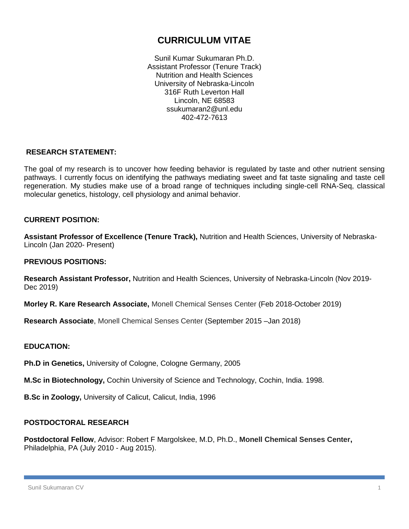# **CURRICULUM VITAE**

Sunil Kumar Sukumaran Ph.D. Assistant Professor (Tenure Track) Nutrition and Health Sciences University of Nebraska-Lincoln 316F Ruth Leverton Hall Lincoln, NE 68583 ssukumaran2@unl.edu 402-472-7613

# **RESEARCH STATEMENT:**

The goal of my research is to uncover how feeding behavior is regulated by taste and other nutrient sensing pathways. I currently focus on identifying the pathways mediating sweet and fat taste signaling and taste cell regeneration. My studies make use of a broad range of techniques including single-cell RNA-Seq, classical molecular genetics, histology, cell physiology and animal behavior.

# **CURRENT POSITION:**

**Assistant Professor of Excellence (Tenure Track),** Nutrition and Health Sciences, University of Nebraska-Lincoln (Jan 2020- Present)

### **PREVIOUS POSITIONS:**

**Research Assistant Professor,** Nutrition and Health Sciences, University of Nebraska-Lincoln (Nov 2019- Dec 2019)

**Morley R. Kare Research Associate,** Monell Chemical Senses Center (Feb 2018-October 2019)

**Research Associate**, Monell Chemical Senses Center (September 2015 –Jan 2018)

# **EDUCATION:**

**Ph.D in Genetics,** University of Cologne, Cologne Germany, 2005

**M.Sc in Biotechnology,** Cochin University of Science and Technology, Cochin, India. 1998.

**B.Sc in Zoology,** University of Calicut, Calicut, India, 1996

# **POSTDOCTORAL RESEARCH**

**Postdoctoral Fellow**, Advisor: Robert F Margolskee, M.D, Ph.D., **Monell Chemical Senses Center,**  Philadelphia, PA (July 2010 - Aug 2015).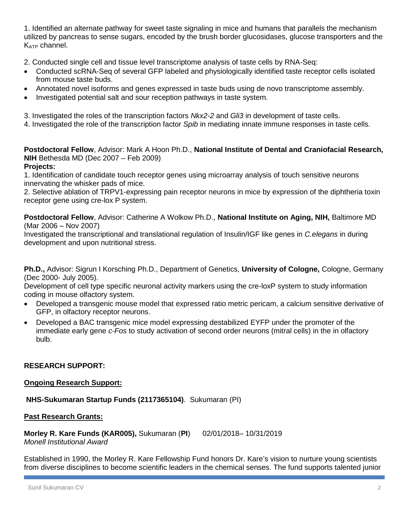1. Identified an alternate pathway for sweet taste signaling in mice and humans that parallels the mechanism utilized by pancreas to sense sugars, encoded by the brush border glucosidases, glucose transporters and the K<sub>ATP</sub> channel.

2. Conducted single cell and tissue level transcriptome analysis of taste cells by RNA-Seq:

- Conducted scRNA-Seq of several GFP labeled and physiologically identified taste receptor cells isolated from mouse taste buds.
- Annotated novel isoforms and genes expressed in taste buds using de novo transcriptome assembly.
- Investigated potential salt and sour reception pathways in taste system.

3. Investigated the roles of the transcription factors *Nkx2-2* and *Gli3* in development of taste cells.

4. Investigated the role of the transcription factor *Spib* in mediating innate immune responses in taste cells.

**Postdoctoral Fellow**, Advisor: Mark A Hoon Ph.D., **National Institute of Dental and Craniofacial Research, NIH** Bethesda MD (Dec 2007 – Feb 2009) **Projects:**

1. Identification of candidate touch receptor genes using microarray analysis of touch sensitive neurons innervating the whisker pads of mice.

2. Selective ablation of TRPV1-expressing pain receptor neurons in mice by expression of the diphtheria toxin receptor gene using cre-lox P system.

**Postdoctoral Fellow**, Advisor: Catherine A Wolkow Ph.D., **National Institute on Aging, NIH,** Baltimore MD (Mar 2006 – Nov 2007)

Investigated the transcriptional and translational regulation of Insulin/IGF like genes in *C.elegans* in during development and upon nutritional stress.

**Ph.D.,** Advisor: Sigrun I Korsching Ph.D., Department of Genetics, **University of Cologne,** Cologne, Germany (Dec 2000- July 2005).

Development of cell type specific neuronal activity markers using the cre-loxP system to study information coding in mouse olfactory system.

- Developed a transgenic mouse model that expressed ratio metric pericam, a calcium sensitive derivative of GFP, in olfactory receptor neurons.
- Developed a BAC transgenic mice model expressing destabilized EYFP under the promoter of the immediate early gene *c-Fos* to study activation of second order neurons (mitral cells) in the in olfactory bulb.

# **RESEARCH SUPPORT:**

# **Ongoing Research Support:**

**NHS-Sukumaran Startup Funds (2117365104)**. Sukumaran (PI)

# **Past Research Grants:**

**Morley R. Kare Funds (KAR005),** Sukumaran (**PI**) 02/01/2018– 10/31/2019 *Monell Institutional Award*

Established in 1990, the Morley R. Kare Fellowship Fund honors Dr. Kare's vision to nurture young scientists from diverse disciplines to become scientific leaders in the chemical senses. The fund supports talented junior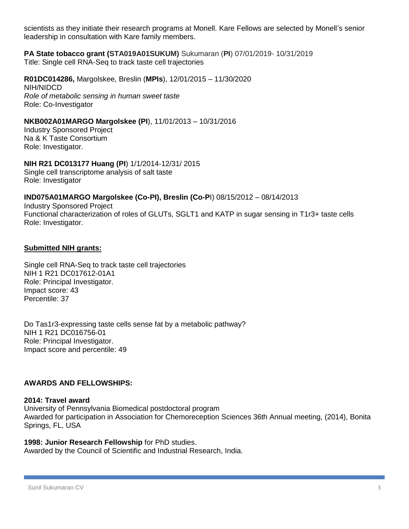scientists as they initiate their research programs at Monell. Kare Fellows are selected by Monell's senior leadership in consultation with Kare family members.

#### **PA State tobacco grant (STA019A01SUKUM)** Sukumaran (**PI**) 07/01/2019- 10/31/2019 Title: Single cell RNA-Seq to track taste cell trajectories

**R01DC014286,** Margolskee, Breslin (**MPIs**), 12/01/2015 – 11/30/2020 NIH/NIDCD *Role of metabolic sensing in human sweet taste* Role: Co-Investigator

### **NKB002A01MARGO Margolskee (PI**), 11/01/2013 – 10/31/2016

Industry Sponsored Project Na & K Taste Consortium Role: Investigator.

# **NIH R21 DC013177 Huang (PI**) 1/1/2014-12/31/ 2015

Single cell transcriptome analysis of salt taste Role: Investigator

#### **IND075A01MARGO Margolskee (Co-PI), Breslin (Co-P**I) 08/15/2012 – 08/14/2013

Industry Sponsored Project Functional characterization of roles of GLUTs, SGLT1 and KATP in sugar sensing in T1r3+ taste cells Role: Investigator.

#### **Submitted NIH grants:**

Single cell RNA-Seq to track taste cell trajectories NIH 1 R21 DC017612-01A1 Role: Principal Investigator. Impact score: 43 Percentile: 37

Do Tas1r3-expressing taste cells sense fat by a metabolic pathway? NIH 1 R21 DC016756-01 Role: Principal Investigator. Impact score and percentile: 49

#### **AWARDS AND FELLOWSHIPS:**

#### **2014: Travel award**

University of Pennsylvania Biomedical postdoctoral program Awarded for participation in Association for Chemoreception Sciences 36th Annual meeting, (2014), Bonita Springs, FL, USA

#### **1998: Junior Research Fellowship** for PhD studies.

Awarded by the Council of Scientific and Industrial Research, India.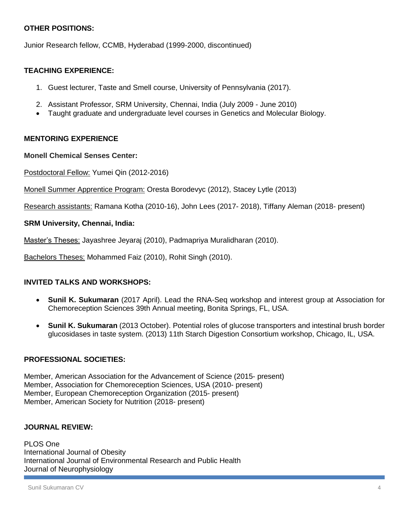# **OTHER POSITIONS:**

Junior Research fellow, CCMB, Hyderabad (1999-2000, discontinued)

# **TEACHING EXPERIENCE:**

- 1. Guest lecturer, Taste and Smell course, University of Pennsylvania (2017).
- 2. Assistant Professor, SRM University, Chennai, India (July 2009 June 2010)
- Taught graduate and undergraduate level courses in Genetics and Molecular Biology.

# **MENTORING EXPERIENCE**

#### **Monell Chemical Senses Center:**

Postdoctoral Fellow: Yumei Qin (2012-2016)

Monell Summer Apprentice Program: Oresta Borodevyc (2012), Stacey Lytle (2013)

Research assistants: Ramana Kotha (2010-16), John Lees (2017- 2018), Tiffany Aleman (2018- present)

#### **SRM University, Chennai, India:**

Master's Theses: Jayashree Jeyaraj (2010), Padmapriya Muralidharan (2010).

Bachelors Theses: Mohammed Faiz (2010), Rohit Singh (2010).

# **INVITED TALKS AND WORKSHOPS:**

- **Sunil K. Sukumaran** (2017 April). Lead the RNA-Seq workshop and interest group at Association for Chemoreception Sciences 39th Annual meeting, Bonita Springs, FL, USA.
- **Sunil K. Sukumaran** (2013 October). Potential roles of glucose transporters and intestinal brush border glucosidases in taste system. (2013) 11th Starch Digestion Consortium workshop, Chicago, IL, USA.

# **PROFESSIONAL SOCIETIES:**

Member, American Association for the Advancement of Science (2015- present) Member, Association for Chemoreception Sciences, USA (2010- present) Member, European Chemoreception Organization (2015- present) Member, American Society for Nutrition (2018- present)

#### **JOURNAL REVIEW:**

PLOS One International Journal of Obesity International Journal of Environmental Research and Public Health Journal of Neurophysiology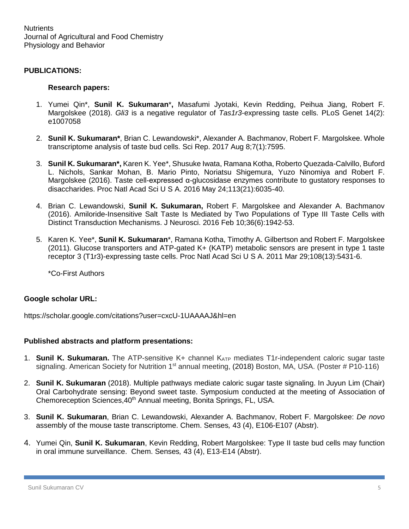Nutrients Journal of Agricultural and Food Chemistry Physiology and Behavior

#### **PUBLICATIONS:**

#### **Research papers:**

- 1. Yumei Qin\*, **Sunil K. Sukumaran**\***,** Masafumi Jyotaki, Kevin Redding, Peihua Jiang, Robert F. Margolskee (2018). *Gli3* is a negative regulator of *Tas1r3*-expressing taste cells. PLoS Genet 14(2): e1007058
- 2. **Sunil K. Sukumaran\***, Brian C. Lewandowski\*, Alexander A. Bachmanov, Robert F. Margolskee. Whole transcriptome analysis of taste bud cells. Sci Rep. 2017 Aug 8;7(1):7595.
- 3. **Sunil K. Sukumaran\*,** Karen K. Yee\*, Shusuke Iwata, Ramana Kotha, Roberto Quezada-Calvillo, Buford L. Nichols, Sankar Mohan, B. Mario Pinto, Noriatsu Shigemura, Yuzo Ninomiya and Robert F. Margolskee (2016). Taste cell-expressed α-glucosidase enzymes contribute to gustatory responses to disaccharides. Proc Natl Acad Sci U S A. 2016 May 24;113(21):6035-40.
- 4. Brian C. Lewandowski, **Sunil K. Sukumaran,** Robert F. Margolskee and Alexander A. Bachmanov (2016). Amiloride-Insensitive Salt Taste Is Mediated by Two Populations of Type III Taste Cells with Distinct Transduction Mechanisms. J Neurosci. 2016 Feb 10;36(6):1942-53.
- 5. Karen K. Yee\*, **Sunil K. Sukumaran**\*, Ramana Kotha, Timothy A. Gilbertson and Robert F. Margolskee (2011). Glucose transporters and ATP-gated K+ (KATP) metabolic sensors are present in type 1 taste receptor 3 (T1r3)-expressing taste cells. Proc Natl Acad Sci U S A. 2011 Mar 29;108(13):5431-6.

\*Co-First Authors

#### **Google scholar URL:**

https://scholar.google.com/citations?user=cxcU-1UAAAAJ&hl=en

#### **Published abstracts and platform presentations:**

- 1. **Sunil K. Sukumaran.** The ATP-sensitive K+ channel K<sub>ATP</sub> mediates T1r-independent caloric sugar taste signaling. American Society for Nutrition 1<sup>st</sup> annual meeting, (2018) Boston, MA, USA. (Poster # P10-116)
- 2. **Sunil K. Sukumaran** (2018). Multiple pathways mediate caloric sugar taste signaling. In Juyun Lim (Chair) Oral Carbohydrate sensing: Beyond sweet taste. Symposium conducted at the meeting of Association of Chemoreception Sciences, 40<sup>th</sup> Annual meeting, Bonita Springs, FL, USA.
- 3. **Sunil K. Sukumaran**, Brian C. Lewandowski, Alexander A. Bachmanov, Robert F. Margolskee: *De novo* assembly of the mouse taste transcriptome. Chem. Senses*,* 43 (4), E106-E107 (Abstr).
- 4. Yumei Qin, **Sunil K. Sukumaran**, Kevin Redding, Robert Margolskee: Type II taste bud cells may function in oral immune surveillance. Chem. Senses*,* 43 (4), E13-E14 (Abstr).